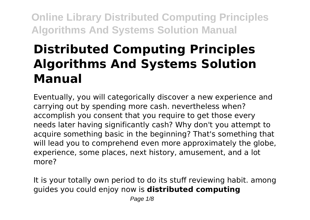# **Distributed Computing Principles Algorithms And Systems Solution Manual**

Eventually, you will categorically discover a new experience and carrying out by spending more cash. nevertheless when? accomplish you consent that you require to get those every needs later having significantly cash? Why don't you attempt to acquire something basic in the beginning? That's something that will lead you to comprehend even more approximately the globe. experience, some places, next history, amusement, and a lot more?

It is your totally own period to do its stuff reviewing habit. among guides you could enjoy now is **distributed computing**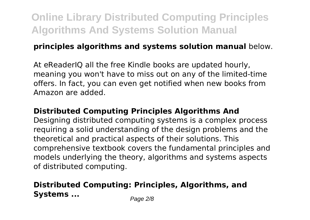#### **principles algorithms and systems solution manual** below.

At eReaderIQ all the free Kindle books are updated hourly, meaning you won't have to miss out on any of the limited-time offers. In fact, you can even get notified when new books from Amazon are added.

#### **Distributed Computing Principles Algorithms And**

Designing distributed computing systems is a complex process requiring a solid understanding of the design problems and the theoretical and practical aspects of their solutions. This comprehensive textbook covers the fundamental principles and models underlying the theory, algorithms and systems aspects of distributed computing.

### **Distributed Computing: Principles, Algorithms, and Systems** ... Page 2/8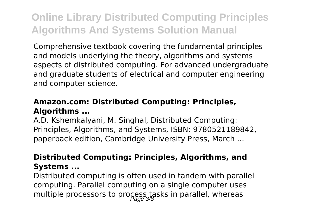Comprehensive textbook covering the fundamental principles and models underlying the theory, algorithms and systems aspects of distributed computing. For advanced undergraduate and graduate students of electrical and computer engineering and computer science.

#### **Amazon.com: Distributed Computing: Principles, Algorithms ...**

A.D. Kshemkalyani, M. Singhal, Distributed Computing: Principles, Algorithms, and Systems, ISBN: 9780521189842, paperback edition, Cambridge University Press, March ...

#### **Distributed Computing: Principles, Algorithms, and Systems ...**

Distributed computing is often used in tandem with parallel computing. Parallel computing on a single computer uses multiple processors to process tasks in parallel, whereas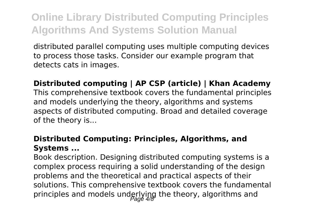distributed parallel computing uses multiple computing devices to process those tasks. Consider our example program that detects cats in images.

#### **Distributed computing | AP CSP (article) | Khan Academy**

This comprehensive textbook covers the fundamental principles and models underlying the theory, algorithms and systems aspects of distributed computing. Broad and detailed coverage of the theory is...

#### **Distributed Computing: Principles, Algorithms, and Systems ...**

Book description. Designing distributed computing systems is a complex process requiring a solid understanding of the design problems and the theoretical and practical aspects of their solutions. This comprehensive textbook covers the fundamental principles and models underlying the theory, algorithms and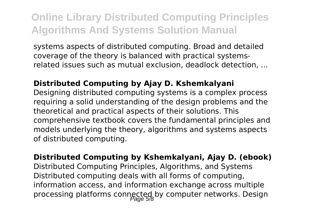systems aspects of distributed computing. Broad and detailed coverage of the theory is balanced with practical systemsrelated issues such as mutual exclusion, deadlock detection, ...

#### **Distributed Computing by Ajay D. Kshemkalyani**

Designing distributed computing systems is a complex process requiring a solid understanding of the design problems and the theoretical and practical aspects of their solutions. This comprehensive textbook covers the fundamental principles and models underlying the theory, algorithms and systems aspects of distributed computing.

**Distributed Computing by Kshemkalyani, Ajay D. (ebook)** Distributed Computing Principles, Algorithms, and Systems Distributed computing deals with all forms of computing, information access, and information exchange across multiple processing platforms connected by computer networks. Design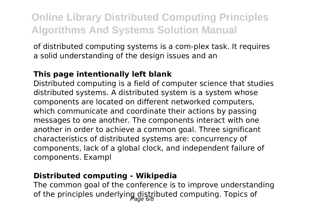of distributed computing systems is a com-plex task. It requires a solid understanding of the design issues and an

#### **This page intentionally left blank**

Distributed computing is a field of computer science that studies distributed systems. A distributed system is a system whose components are located on different networked computers, which communicate and coordinate their actions by passing messages to one another. The components interact with one another in order to achieve a common goal. Three significant characteristics of distributed systems are: concurrency of components, lack of a global clock, and independent failure of components. Exampl

#### **Distributed computing - Wikipedia**

The common goal of the conference is to improve understanding of the principles underlying distributed computing. Topics of